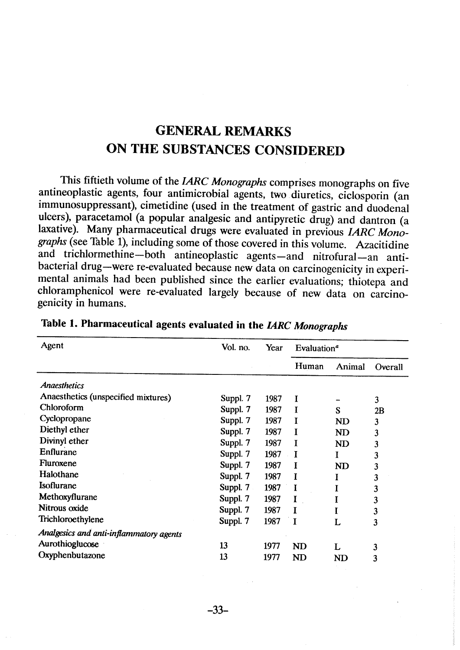# **GENERAL REMARKS** ON THE SUBSTANCES CONSIDERED

This fiftieth volume of the IARC Monographs comprises monographs on five antineoplastic agents, four antimicrobial agents, two diuretics, ciclosporin (an immunosuppressant), cimetidine (used in the treatment of gastric and duodenal ulcers), paracetamol (a popular analgesic and antipyretic drug) and dantron (a laxative). Many pharmaceutical drugs were evaluated in previous IARC Monographs (see Table 1), including sorne of those covered in this volume. Azacitidine and trichlormethine-both antineoplastic agents-and nitrofural-an antibacterial drug-were re-evaluated because new data on carcinogenicity in experimental animals had been published since the earlier evaluations; thiotepa and chloramphenicol were re-evaluated largely because of new data on carcinogenicity in humans.

| Agent                                   | Vol. no. | Year | Evaluation <sup>a</sup> |                |         |  |
|-----------------------------------------|----------|------|-------------------------|----------------|---------|--|
|                                         |          |      | Human                   | Animal         | Overall |  |
| <b>Anaesthetics</b>                     |          |      |                         |                |         |  |
| Anaesthetics (unspecified mixtures)     | Suppl. 7 | 1987 | I                       |                | 3       |  |
| Chloroform                              | Suppl. 7 | 1987 | I                       | S              | 2B      |  |
| Cyclopropane                            | Suppl. 7 | 1987 |                         | N <sub>D</sub> | 3       |  |
| Diethyl ether                           | Suppl. 7 | 1987 |                         | ND             | 3       |  |
| Divinyl ether                           | Suppl. 7 | 1987 | I                       | ND             | 3       |  |
| Enflurane                               | Suppl. 7 | 1987 | Ι                       | 1              | 3       |  |
| Fluroxene                               | Suppl. 7 | 1987 | I                       | ND             | 3       |  |
| Halothane                               | Suppl. 7 | 1987 | I                       |                | 3       |  |
| Isoflurane                              | Suppl. 7 | 1987 | I                       | Ι              | 3       |  |
| Methoxyflurane                          | Suppl. 7 | 1987 | I                       | Ι              | 3       |  |
| Nitrous oxide                           | Suppl. 7 | 1987 | T                       |                | 3       |  |
| Trichloroethylene                       | Suppl. 7 | 1987 | $\mathbf{I}$            | L              | 3       |  |
| Analgesics and anti-inflammatory agents |          |      |                         |                |         |  |
| Aurothioglucose                         | 13       | 1977 | <b>ND</b>               | L              | 3       |  |
| Oxyphenbutazone                         | 13       | 1977 | <b>ND</b>               | <b>ND</b>      | 3       |  |

| Table 1. Pharmaceutical agents evaluated in the IARC Monographs |  |  |  |  |
|-----------------------------------------------------------------|--|--|--|--|
|-----------------------------------------------------------------|--|--|--|--|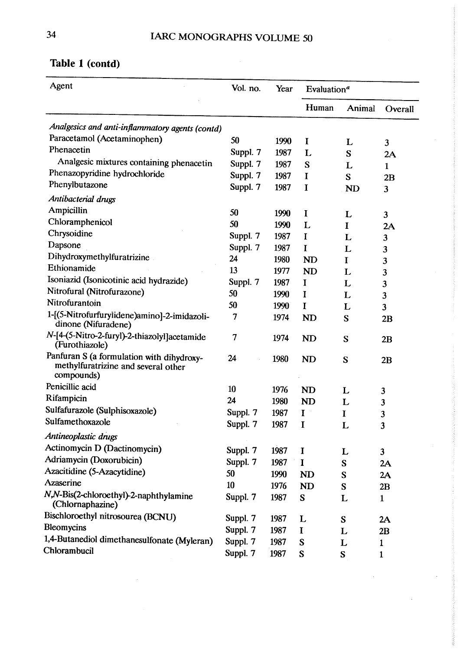| Agent                                                                                          | Vol. no. | Year | Evaluation <sup>a</sup> |             |                         |  |
|------------------------------------------------------------------------------------------------|----------|------|-------------------------|-------------|-------------------------|--|
|                                                                                                |          |      | Human                   | Animal      | Overall                 |  |
| Analgesics and anti-inflammatory agents (contd)                                                |          |      |                         |             |                         |  |
| Paracetamol (Acetaminophen)                                                                    | 50       | 1990 | I                       | L           | 3                       |  |
| Phenacetin                                                                                     | Suppl. 7 | 1987 | L                       | S           | 2A                      |  |
| Analgesic mixtures containing phenacetin                                                       | Suppl. 7 | 1987 | S                       | L           | $\mathbf{1}$            |  |
| Phenazopyridine hydrochloride                                                                  | Suppl. 7 | 1987 | I                       | S           | 2B                      |  |
| Phenylbutazone                                                                                 | Suppl. 7 | 1987 | I                       | <b>ND</b>   | $\overline{\mathbf{3}}$ |  |
| Antibacterial drugs                                                                            |          |      |                         |             |                         |  |
| Ampicillin                                                                                     | 50       | 1990 | I                       | L           | 3                       |  |
| Chloramphenicol                                                                                | 50       | 1990 | L                       | I           | 2A                      |  |
| Chrysoidine                                                                                    | Suppl. 7 | 1987 | I                       | L           | 3                       |  |
| Dapsone                                                                                        | Suppl. 7 | 1987 | I                       | L           | 3                       |  |
| Dihydroxymethylfuratrizine                                                                     | 24       | 1980 | <b>ND</b>               | Ι           | 3                       |  |
| Ethionamide                                                                                    | 13       | 1977 | <b>ND</b>               | L           | 3                       |  |
| Isoniazid (Isonicotinic acid hydrazide)                                                        | Suppl. 7 | 1987 | I                       | L           | 3                       |  |
| Nitrofural (Nitrofurazone)                                                                     | 50       | 1990 | I                       | L           | 3                       |  |
| Nitrofurantoin                                                                                 | 50       | 1990 | I                       | L           | 3                       |  |
| 1-[(5-Nitrofurfurylidene)amino]-2-imidazoli-<br>dinone (Nifuradene)                            | 7        | 1974 | <b>ND</b>               | S           | 2B                      |  |
| N-[4-(5-Nitro-2-furyl)-2-thiazolyl]acetamide<br>(Furothiazole)                                 | 7        | 1974 | <b>ND</b>               | S           | 2B                      |  |
| Panfuran S (a formulation with dihydroxy-<br>methylfuratrizine and several other<br>compounds) | 24       | 1980 | <b>ND</b>               | S           | 2B                      |  |
| Penicillic acid                                                                                | 10       | 1976 | <b>ND</b>               | L           | 3                       |  |
| Rifampicin                                                                                     | 24       | 1980 | ND                      | L           | 3                       |  |
| Sulfafurazole (Sulphisoxazole)                                                                 | Suppl. 7 | 1987 | $\mathbf I$             | I           | 3                       |  |
| Sulfamethoxazole                                                                               | Suppl. 7 | 1987 | I                       | L           | 3                       |  |
| Antineoplastic drugs                                                                           |          |      |                         |             |                         |  |
| Actinomycin D (Dactinomycin)                                                                   | Suppl. 7 | 1987 | I                       | L           | $\mathbf{3}$            |  |
| Adriamycin (Doxorubicin)                                                                       | Suppl. 7 | 1987 | I                       | S           | 2A                      |  |
| Azacitidine (5-Azacytidine)                                                                    | 50       | 1990 | <b>ND</b>               | $\mathbf S$ | 2A                      |  |
| <b>Azaserine</b>                                                                               | 10       | 1976 | <b>ND</b>               | ${\bf S}$   | 2B                      |  |
| N,N-Bis(2-chloroethyl)-2-naphthylamine<br>(Chlornaphazine)                                     | Suppl. 7 | 1987 | S                       | L           | $\mathbf{1}$            |  |
| Bischloroethyl nitrosourea (BCNU)                                                              | Suppl. 7 | 1987 | L                       | S           | 2A                      |  |
| <b>Bleomycins</b>                                                                              | Suppl. 7 | 1987 | $\mathbf I$             | L           | 2B                      |  |
| 1,4-Butanediol dimethanesulfonate (Myleran)                                                    | Suppl. 7 | 1987 | S                       | L           | $\mathbf{1}$            |  |
| Chlorambucil                                                                                   | Suppl. 7 | 1987 | S                       | S           | 1                       |  |
|                                                                                                |          |      |                         |             |                         |  |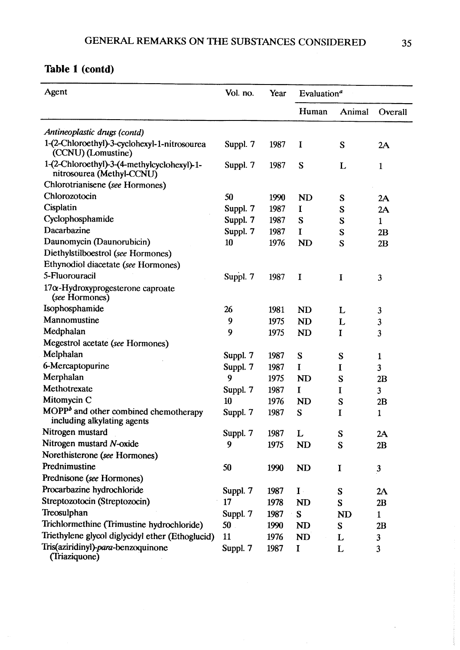| Agent                                                                    | Vol. no.        | Year | Evaluation <sup>a</sup> |           |              |
|--------------------------------------------------------------------------|-----------------|------|-------------------------|-----------|--------------|
|                                                                          |                 |      | Human                   | Animal    | Overall      |
| Antineoplastic drugs (contd)                                             |                 |      |                         |           |              |
| 1-(2-Chloroethyl)-3-cyclohexyl-1-nitrosourea<br>(CCNU) (Lomustine)       | Suppl. 7        | 1987 | I                       | S         | 2A           |
| 1-(2-Chloroethyl)-3-(4-methylcyclohexyl)-1-<br>nitrosourea (Methyl-CCNU) | Suppl. 7        | 1987 | S                       | L         | $\mathbf{1}$ |
| Chlorotrianisene (see Hormones)                                          |                 |      |                         |           |              |
| Chlorozotocin                                                            | 50              | 1990 | <b>ND</b>               | S         | 2A           |
| Cisplatin                                                                | Suppl. 7        | 1987 | I                       | S         | 2A           |
| Cyclophosphamide                                                         | Suppl. 7        | 1987 | S                       | S         | $\mathbf{1}$ |
| Dacarbazine                                                              | Suppl. 7        | 1987 | I                       | S         | 2B           |
| Daunomycin (Daunorubicin)                                                | 10              | 1976 | <b>ND</b>               | S         | 2B           |
| Diethylstilboestrol (see Hormones)                                       |                 |      |                         |           |              |
| Ethynodiol diacetate (see Hormones)                                      |                 |      |                         |           |              |
| 5-Fluorouracil                                                           | Suppl. 7        | 1987 | $\mathbf I$             | I         | 3            |
| $17\alpha$ -Hydroxyprogesterone caproate<br>(see Hormones)               |                 |      |                         |           |              |
| Isophosphamide                                                           | 26              | 1981 | <b>ND</b>               | L         | 3            |
| Mannomustine                                                             | 9               | 1975 | <b>ND</b>               | L         | 3            |
| Medphalan                                                                | 9               | 1975 | N <sub>D</sub>          | I         | 3            |
| Megestrol acetate (see Hormones)                                         |                 |      |                         |           |              |
| Melphalan                                                                | Suppl. 7        | 1987 | S                       | S         | $\mathbf{1}$ |
| 6-Mercaptopurine                                                         | Suppl. 7        | 1987 | I                       | I         | 3            |
| Merphalan                                                                | 9               | 1975 | ND                      | S         | 2B           |
| Methotrexate                                                             | Suppl. 7        | 1987 | $\bf{I}$                | I         | $\mathbf{3}$ |
| Mitomycin C                                                              | 10              | 1976 | <b>ND</b>               | S         | 2B           |
| $MOPPb$ and other combined chemotherapy<br>including alkylating agents   | Suppl. 7        | 1987 | S                       | I         | 1            |
| Nitrogen mustard                                                         | Suppl. 7        | 1987 | L                       | S         | 2A           |
| Nitrogen mustard N-oxide                                                 | 9               | 1975 | <b>ND</b>               | S         | 2B           |
| Norethisterone (see Hormones)                                            |                 |      |                         |           |              |
| Prednimustine                                                            | 50              | 1990 | ND                      | I         | $\mathbf{3}$ |
| Prednisone (see Hormones)                                                |                 |      |                         |           |              |
| Procarbazine hydrochloride                                               | Suppl. 7        | 1987 | $\mathbf{I}$ .          | S         | 2A           |
| Streptozotocin (Streptozocin)                                            | 17              | 1978 | ND                      | S         | 2B           |
| Treosulphan                                                              | Suppl. 7        | 1987 | S                       | <b>ND</b> | $\mathbf{1}$ |
| Trichlormethine (Trimustine hydrochloride)                               | 50 <sub>1</sub> | 1990 | <b>ND</b>               | S         | 2B           |
| Triethylene glycol diglycidyl ether (Ethoglucid)                         | 11              | 1976 | ND                      | L         | 3            |
| Tris(aziridinyl)-para-benzoquinone<br>(Triaziquone)                      | Suppl. 7        | 1987 | I                       | L         | 3            |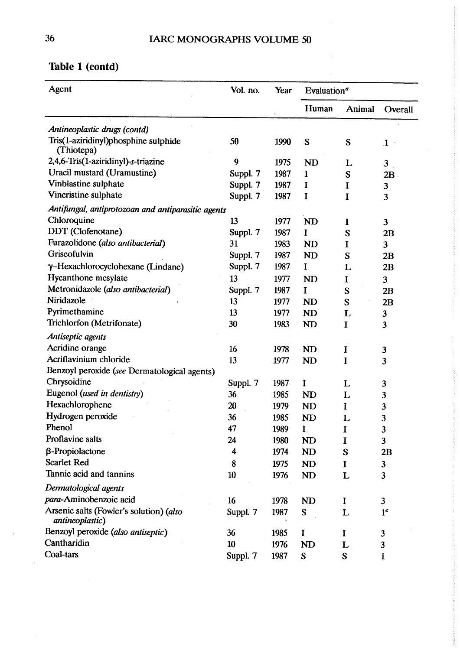$\hat{\mathcal{A}}$ 

| Agent                                                      | Vol. no. | Year | Evaluation <sup>a</sup> |              |                         |  |
|------------------------------------------------------------|----------|------|-------------------------|--------------|-------------------------|--|
|                                                            |          |      | Human                   | Animal       | Overall                 |  |
| Antineoplastic drugs (contd)                               |          |      |                         |              |                         |  |
| Tris(1-aziridinyl)phosphine sulphide<br>(Thiotepa)         | 50       | 1990 | S                       | S            | $\mathbf{1}$            |  |
| 2,4,6-Tris(1-aziridinyl)-s-triazine                        | 9        | 1975 | <b>ND</b>               | L            | $\overline{\mathbf{3}}$ |  |
| Uracil mustard (Uramustine)                                | Suppl. 7 | 1987 | $\mathbf I$             | S            | 2B                      |  |
| Vinblastine sulphate                                       | Suppl. 7 | 1987 | I                       | Ι            | 3                       |  |
| Vincristine sulphate                                       | Suppl. 7 | 1987 | I                       | I            | 3                       |  |
| Antifungal, antiprotozoan and antiparasitic agents         |          |      |                         |              |                         |  |
| Chloroquine                                                | 13       | 1977 | <b>ND</b>               | I            | $\overline{\mathbf{3}}$ |  |
| DDT (Clofenotane)                                          | Suppl. 7 | 1987 | I                       | S            | 2B                      |  |
| Furazolidone (also antibacterial)                          | 31       | 1983 | <b>ND</b>               | Ι            | $\overline{\mathbf{3}}$ |  |
| Griseofulvin                                               | Suppl. 7 | 1987 | <b>ND</b>               | S            | 2B                      |  |
| γ-Hexachlorocyclohexane (Lindane)                          | Suppl. 7 | 1987 | $\mathbf I$             | L            | 2B                      |  |
| Hycanthone mesylate                                        | 13       | 1977 | <b>ND</b>               | I            | 3                       |  |
| Metronidazole (also antibacterial)                         | Suppl. 7 | 1987 | I                       | S            | 2B                      |  |
| Niridazole                                                 | 13       | 1977 | ND                      | S            | 2B                      |  |
| Pyrimethamine                                              | 13       | 1977 | <b>ND</b>               | L            | 3                       |  |
| Trichlorfon (Metrifonate)                                  | 30       | 1983 | <b>ND</b>               | I            | 3                       |  |
| Antiseptic agents                                          |          |      |                         |              |                         |  |
| Acridine orange                                            | 16       | 1978 | ND                      | I            | 3                       |  |
| Acriflavinium chloride                                     | 13       | 1977 | <b>ND</b>               | I            | 3                       |  |
| Benzoyl peroxide (see Dermatological agents)               |          |      |                         |              |                         |  |
| Chrysoidine                                                | Suppl. 7 | 1987 | I                       | L            | 3                       |  |
| Eugenol (used in dentistry)                                | 36       | 1985 | <b>ND</b>               | L            | 3                       |  |
| Hexachlorophene                                            | 20       | 1979 | ND                      | <sup>T</sup> | 3                       |  |
| Hydrogen peroxide                                          | 36       | 1985 | <b>ND</b>               | L            | 3                       |  |
| Phenol                                                     | 47       | 1989 | I                       | 1            | 3                       |  |
| Proflavine salts                                           | 24       | 1980 | <b>ND</b>               | I            | $\overline{\mathbf{3}}$ |  |
| $\beta$ -Propiolactone                                     | 4        | 1974 | <b>ND</b>               | S            | 2B                      |  |
| <b>Scarlet Red</b>                                         | 8        | 1975 | ND                      | $\mathbf I$  | 3                       |  |
| Tannic acid and tannins                                    | 10       | 1976 | <b>ND</b>               | L            | 3                       |  |
| Dermatological agents                                      |          |      |                         |              |                         |  |
| para-Aminobenzoic acid                                     | 16       | 1978 | <b>ND</b>               | I            | $\overline{\mathbf{3}}$ |  |
| Arsenic salts (Fowler's solution) (also<br>antineoplastic) | Suppl. 7 | 1987 | S                       | L            | 1 <sup>c</sup>          |  |
| Benzoyl peroxide (also antiseptic)                         | 36       | 1985 | I                       | I            | 3                       |  |
| Cantharidin                                                | 10       | 1976 | <b>ND</b>               | L            | 3                       |  |
| Coal-tars                                                  | Suppl. 7 | 1987 | ${\bf S}$               | S            | 1                       |  |

## Table 1 (contd)

 $\hat{\boldsymbol{\beta}}$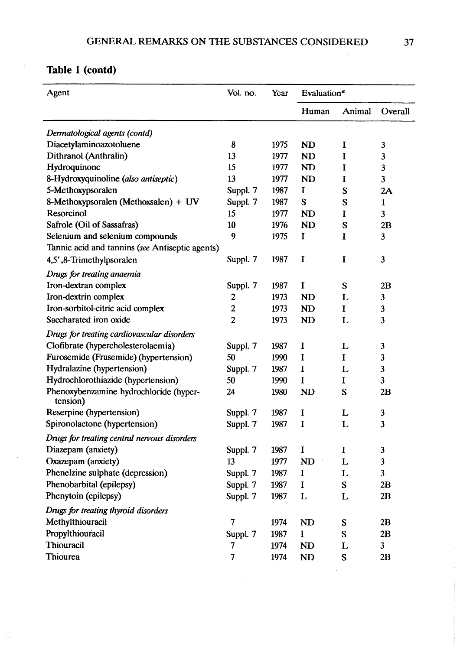| Agent                                              | Vol. no.       | Year | Evaluation <sup>a</sup> |        |                |
|----------------------------------------------------|----------------|------|-------------------------|--------|----------------|
|                                                    |                |      | Human                   | Animal | Overall        |
| Dermatological agents (contd)                      |                |      |                         |        |                |
| Diacetylaminoazotoluene                            | 8              | 1975 | <b>ND</b>               | I      | 3              |
| Dithranol (Anthralin)                              | 13             | 1977 | <b>ND</b>               | I      | $\mathbf{3}$   |
| Hydroquinone                                       | 15             | 1977 | <b>ND</b>               | I      | 3              |
| 8-Hydroxyquinoline (also antiseptic)               | 13             | 1977 | <b>ND</b>               | I      | $\mathbf{3}$   |
| 5-Methoxypsoralen                                  | Suppl. 7       | 1987 | I                       | S      | 2A             |
| 8-Methoxypsoralen (Methoxsalen) + UV               | Suppl. 7       | 1987 | S                       | S      | $\mathbf{1}$   |
| <b>Resorcinol</b>                                  | 15             | 1977 | <b>ND</b>               | I      | $\mathbf{3}$   |
| Safrole (Oil of Sassafras)                         | 10             | 1976 | <b>ND</b>               | S      | 2B             |
| Selenium and selenium compounds                    | 9              | 1975 | I                       | I      | 3              |
| Tannic acid and tannins (see Antiseptic agents)    |                |      |                         |        |                |
| 4,5',8-Trimethylpsoralen                           | Suppl. 7       | 1987 | I                       | I      | 3              |
| Drugs for treating anaemia                         |                |      |                         |        |                |
| Iron-dextran complex                               | Suppl. 7       | 1987 | $\bf{I}$                | S      | 2B             |
| Iron-dextrin complex                               | 2              | 1973 | <b>ND</b>               | L      | 3              |
| Iron-sorbitol-citric acid complex                  | 2              | 1973 | <b>ND</b>               | I      | 3              |
| Saccharated iron oxide                             | $\overline{2}$ | 1973 | <b>ND</b>               | L      | 3              |
| Drugs for treating cardiovascular disorders        |                |      |                         |        |                |
| Clofibrate (hypercholesterolaemia)                 | Suppl. 7       | 1987 | I                       | L      | 3              |
| Furosemide (Frusemide) (hypertension)              | 50             | 1990 | I                       | I      | 3              |
| Hydralazine (hypertension)                         | Suppl. 7       | 1987 | I                       | L      | 3              |
| Hydrochlorothiazide (hypertension)                 | 50             | 1990 | I                       | I      | $\mathbf{3}$   |
| Phenoxybenzamine hydrochloride (hyper-<br>tension) | 24             | 1980 | <b>ND</b>               | S      | 2B             |
| Reserpine (hypertension)                           | Suppl. 7       | 1987 | I                       | L      | 3              |
| Spironolactone (hypertension)                      | Suppl. 7       | 1987 | I                       | L      | 3              |
| Drugs for treating central nervous disorders       |                |      |                         |        |                |
| Diazepam (anxiety)                                 | Suppl. 7       | 1987 | I                       | I      | 3              |
| Oxazepam (anxiety)                                 | 13             | 1977 | <b>ND</b>               | L      | $\mathfrak{z}$ |
| Phenelzine sulphate (depression)                   | Suppl. 7       | 1987 | $\bf{I}$                | L      | $\overline{3}$ |
| Phenobarbital (epilepsy)                           | Suppl. 7       | 1987 | $\bf{I}$                | S      | 2B             |
| Phenytoin (epilepsy)                               | Suppl. 7       | 1987 | L                       | L      | 2B             |
|                                                    |                |      |                         |        |                |
| Drugs for treating thyroid disorders               |                |      |                         |        |                |
| Methylthiouracil                                   | 7              | 1974 | <b>ND</b>               | S      | 2B             |
| Propylthiouracil                                   | Suppl. 7       | 1987 | I                       | S      | 2B             |
| Thiouracil                                         | 7              | 1974 | <b>ND</b>               | L      | $\mathbf{3}$   |
| Thiourea                                           | 7              | 1974 | <b>ND</b>               | S      | 2B             |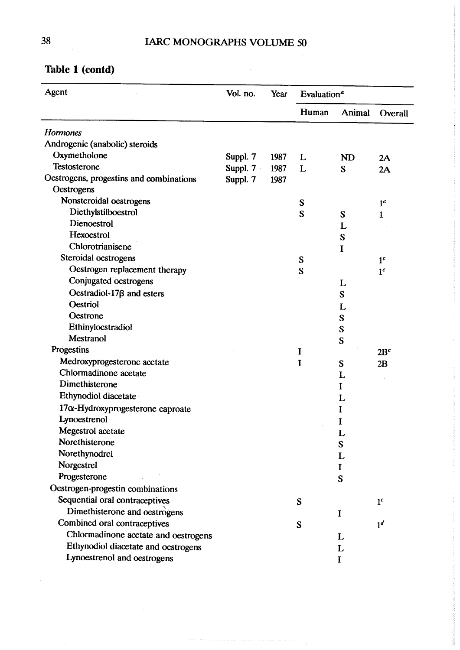## 38 IARC MONOGRAPHS VOLUME 50

| Agent                                    | Vol. no. | Year | Evaluation <sup>a</sup> |           |                 |
|------------------------------------------|----------|------|-------------------------|-----------|-----------------|
|                                          |          |      | Human                   | Animal    | Overall         |
| <b>Hormones</b>                          |          |      |                         |           |                 |
| Androgenic (anabolic) steroids           |          |      |                         |           |                 |
| Oxymetholone                             | Suppl. 7 | 1987 | L                       | <b>ND</b> | 2A              |
| Testosterone                             | Suppl. 7 | 1987 | L                       | S         | 2A              |
| Oestrogens, progestins and combinations  | Suppl. 7 | 1987 |                         |           |                 |
| Oestrogens                               |          |      |                         |           |                 |
| Nonsteroidal oestrogens                  |          |      | S                       |           | 1 <sup>c</sup>  |
| Diethylstilboestrol                      |          |      | S                       | S         | 1               |
| Dienoestrol                              |          |      |                         | L         |                 |
| Hexoestrol                               |          |      |                         | S         |                 |
| Chlorotrianisene                         |          |      |                         | I         |                 |
| Steroidal oestrogens                     |          |      | S                       |           | 1 <sup>c</sup>  |
| Oestrogen replacement therapy            |          |      | S                       |           | 1 <sup>c</sup>  |
| Conjugated oestrogens                    |          |      |                         | L         |                 |
| Oestradiol-17 $\beta$ and esters         |          |      |                         | S         |                 |
| <b>Oestriol</b>                          |          |      |                         | L         |                 |
| Oestrone                                 |          |      |                         | S         |                 |
| Ethinyloestradiol                        |          |      |                         | S         |                 |
| Mestranol                                |          |      |                         | S         |                 |
| Progestins                               |          |      | I                       |           | 2B <sup>c</sup> |
| Medroxyprogesterone acetate              |          |      | I                       | S         | 2B              |
| Chlormadinone acetate                    |          |      |                         | L         |                 |
| Dimethisterone                           |          |      |                         | I         |                 |
| Ethynodiol diacetate                     |          |      |                         | L         |                 |
| $17\alpha$ -Hydroxyprogesterone caproate |          |      |                         | I         |                 |
| Lynoestrenol                             |          |      |                         | I         |                 |
| Megestrol acetate                        |          |      |                         |           |                 |
| Norethisterone                           |          |      |                         | Ł<br>S    |                 |
| Norethynodrel                            |          |      |                         | L         |                 |
| Norgestrel                               |          |      |                         | I         |                 |
| Progesterone                             |          |      |                         | S         |                 |
| Oestrogen-progestin combinations         |          |      |                         |           |                 |
| Sequential oral contraceptives           |          |      | S                       |           | 1 <sup>c</sup>  |
| Dimethisterone and oestrogens            |          |      |                         | $\bf{l}$  |                 |
| Combined oral contraceptives             |          |      | S                       |           | 1 <sup>d</sup>  |
| Chlormadinone acetate and oestrogens     |          |      |                         | L         |                 |
| Ethynodiol diacetate and oestrogens      |          |      |                         | L         |                 |
| Lynoestrenol and oestrogens              |          |      |                         | I         |                 |

where the model constant matrix constant the model of the constant space of the model  $\alpha$ 

#### Table 1 (contd)

 $\sim$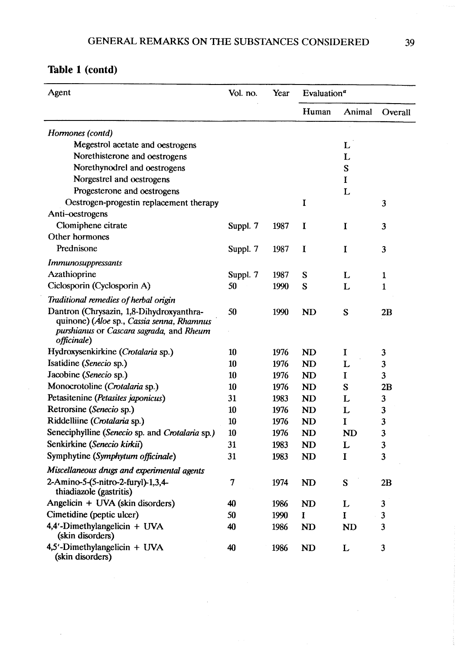| Agent                                                                                                                                                    | Vol. no. | Year | Evaluation <sup><math>a</math></sup> |           |              |
|----------------------------------------------------------------------------------------------------------------------------------------------------------|----------|------|--------------------------------------|-----------|--------------|
|                                                                                                                                                          |          |      | Human                                | Animal    | Overall      |
| Hormones (contd)                                                                                                                                         |          |      |                                      |           |              |
| Megestrol acetate and oestrogens                                                                                                                         |          |      |                                      | L         |              |
| Norethisterone and oestrogens                                                                                                                            |          |      |                                      | L         |              |
| Norethynodrel and oestrogens                                                                                                                             |          |      |                                      | S         |              |
| Norgestrel and oestrogens                                                                                                                                |          |      |                                      | I         |              |
| Progesterone and oestrogens                                                                                                                              |          |      |                                      | L         |              |
| Oestrogen-progestin replacement therapy                                                                                                                  |          |      | I                                    |           | 3            |
| Anti-oestrogens                                                                                                                                          |          |      |                                      |           |              |
| Clomiphene citrate                                                                                                                                       | Suppl. 7 | 1987 | I                                    | I         | 3            |
| Other hormones                                                                                                                                           |          |      |                                      |           |              |
| Prednisone                                                                                                                                               | Suppl. 7 | 1987 | I                                    | I         | 3            |
| <b>Immunosuppressants</b>                                                                                                                                |          |      |                                      |           |              |
| Azathioprine                                                                                                                                             | Suppl. 7 | 1987 | S                                    | L         | 1            |
| Ciclosporin (Cyclosporin A)                                                                                                                              | 50       | 1990 | S                                    | L         | 1            |
| Traditional remedies of herbal origin                                                                                                                    |          |      |                                      |           |              |
| Dantron (Chrysazin, 1,8-Dihydroxyanthra-<br>quinone) (Aloe sp., Cassia senna, Rhamnus<br>purshianus or Cascara sagrada, and Rheum<br><i>officinale</i> ) | 50       | 1990 | <b>ND</b>                            | S         | 2B           |
| Hydroxysenkirkine (Crotalaria sp.)                                                                                                                       | 10       | 1976 | <b>ND</b>                            | I         | 3            |
| Isatidine (Senecio sp.)                                                                                                                                  | 10       | 1976 | <b>ND</b>                            | L         | 3            |
| Jacobine (Senecio sp.)                                                                                                                                   | 10       | 1976 | <b>ND</b>                            | I         | 3            |
| Monocrotoline (Crotalaria sp.)                                                                                                                           | 10       | 1976 | <b>ND</b>                            | S         | 2B           |
| Petasitenine (Petasites japonicus)                                                                                                                       | 31       | 1983 | <b>ND</b>                            | L         | 3            |
| Retrorsine (Senecio sp.)                                                                                                                                 | 10       | 1976 | <b>ND</b>                            | L         | 3            |
| Riddelliine (Crotalaria sp.)                                                                                                                             | 10       | 1976 | <b>ND</b>                            | I         | 3            |
| Seneciphylline (Senecio sp. and Crotalaria sp.)                                                                                                          | 10       | 1976 | <b>ND</b>                            | <b>ND</b> | 3            |
| Senkirkine (Senecio kirkii)                                                                                                                              | 31       | 1983 | <b>ND</b>                            | L         | 3            |
| Symphytine (Symphytum officinale)                                                                                                                        | 31       | 1983 | <b>ND</b>                            | I         | 3            |
| Miscellaneous drugs and experimental agents                                                                                                              |          |      |                                      |           |              |
| 2-Amino-5-(5-nitro-2-furyl)-1,3,4-<br>thiadiazole (gastritis)                                                                                            | 7        | 1974 | N <sub>D</sub>                       | S         | 2B           |
| Angelicin + UVA (skin disorders)                                                                                                                         | 40       | 1986 | <b>ND</b>                            | L         | 3            |
| Cimetidine (peptic ulcer)                                                                                                                                | 50       | 1990 | I                                    | I         | $\mathbf{3}$ |
| $4,4'$ -Dimethylangelicin + UVA<br>(skin disorders)                                                                                                      | 40       | 1986 | <b>ND</b>                            | <b>ND</b> | 3            |
| $4,5'$ -Dimethylangelicin + UVA<br>(skin disorders)                                                                                                      | 40       | 1986 | <b>ND</b>                            | L         | 3            |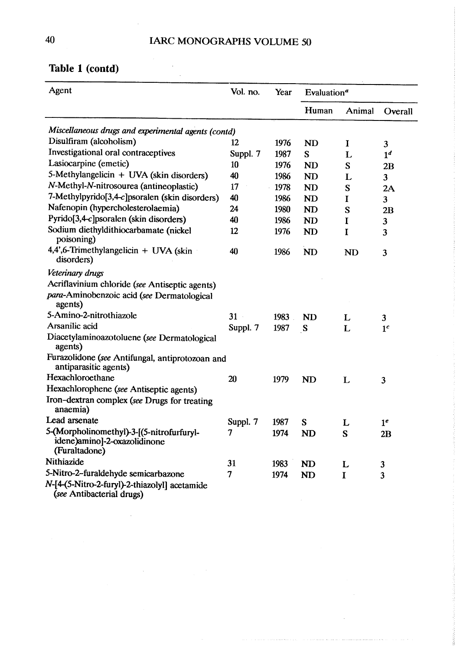#### 40 IARC MONOGRAPHS VOLUME 50

| Table 1 (contd)                                     |          |      |                                      |        |                |  |  |
|-----------------------------------------------------|----------|------|--------------------------------------|--------|----------------|--|--|
| Agent                                               | Vol. no. | Year | Evaluation <sup><math>a</math></sup> |        |                |  |  |
|                                                     |          |      | Human                                | Animal | Overall        |  |  |
| Miscellaneous drugs and experimental agents (contd) |          |      |                                      |        |                |  |  |
| Disulfiram (alcoholism)                             | 12       | 1976 | ND                                   |        | 3              |  |  |
| Investigational oral contraceptives                 | Suppl. 7 | 1987 | S                                    | 1.     | 1 <sup>d</sup> |  |  |
| Lasiocarpine (emetic)                               | 10       | 1976 | ND                                   | S      | 2Β             |  |  |

#### Tabl

| Lasiocarpine (emetic)                                                                      | 10       | 1976 | N <sub>D</sub> | S           | 2B                      |
|--------------------------------------------------------------------------------------------|----------|------|----------------|-------------|-------------------------|
| 5-Methylangelicin + UVA (skin disorders)                                                   | 40       | 1986 | <b>ND</b>      | L           | $\overline{\mathbf{3}}$ |
| N-Methyl-N-nitrosourea (antineoplastic)                                                    | 17       | 1978 | <b>ND</b>      | S           | 2A                      |
| 7-Methylpyrido $[3,4-c]$ psoralen (skin disorders)                                         | 40       | 1986 | <b>ND</b>      | I           | $\overline{\mathbf{3}}$ |
| Nafenopin (hypercholesterolaemia)                                                          | 24       | 1980 | <b>ND</b>      | S           | 2B                      |
| Pyrido[3,4-c]psoralen (skin disorders)                                                     | 40       | 1986 | <b>ND</b>      | $\mathbf I$ | $\mathbf{3}$            |
| Sodium diethyldithiocarbamate (nickel<br>poisoning)                                        | 12       | 1976 | <b>ND</b>      | I           | 3                       |
| 4,4',6-Trimethylangelicin + UVA (skin<br>disorders)                                        | 40       | 1986 | <b>ND</b>      | <b>ND</b>   | 3                       |
| Veterinary drugs                                                                           |          |      |                |             |                         |
| Acriflavinium chloride (see Antiseptic agents)                                             |          |      |                |             |                         |
| para-Aminobenzoic acid (see Dermatological<br>agents)                                      |          |      |                |             |                         |
| 5-Amino-2-nitrothiazole                                                                    | 31       | 1983 | <b>ND</b>      | L           | $\overline{\mathbf{3}}$ |
| Arsanilic acid                                                                             | Suppl. 7 | 1987 | S              | L           | 1 <sup>c</sup>          |
| Diacetylaminoazotoluene (see Dermatological<br>agents)                                     |          |      |                |             |                         |
| Furazolidone (see Antifungal, antiprotozoan and<br>antiparasitic agents)                   |          |      |                |             |                         |
| Hexachloroethane                                                                           | 20       | 1979 | <b>ND</b>      | L           | 3                       |
| Hexachlorophene (see Antiseptic agents)                                                    |          |      |                |             |                         |
| Iron-dextran complex (see Drugs for treating<br>anaemia)                                   |          |      |                |             |                         |
| Lead arsenate                                                                              | Suppl. 7 | 1987 | S              | L           | 1 <sup>e</sup>          |
| 5-(Morpholinomethyl)-3-[(5-nitrofurfuryl-<br>idene)amino]-2-oxazolidinone<br>(Furaltadone) | 7        | 1974 | <b>ND</b>      | S           | 2B                      |
| Nithiazide                                                                                 | 31       | 1983 | <b>ND</b>      | L           | 3                       |
| 5-Nitro-2-furaldehyde semicarbazone                                                        | 7        | 1974 | <b>ND</b>      | I           | $\overline{\mathbf{3}}$ |
| N-[4-(5-Nitro-2-furyl)-2-thiazolyl] acetamide<br>(see Antibacterial drugs)                 |          |      |                |             |                         |

 $\bar{z}$ 

 $\mu_{\rm{max}}$  , and a result is constrained as  $\mu_{\rm{max}}$  , and a second section as

 $\mathcal{A}^{\mathcal{A}}$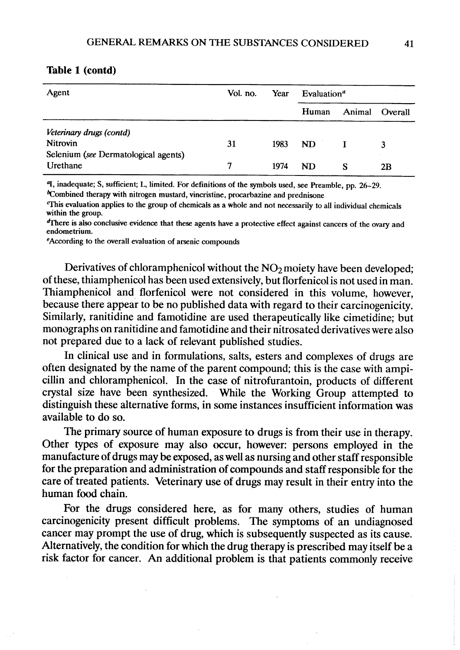| Agent                                | Vol. no. | Year | Evaluation <sup><math>a</math></sup> |  |                |
|--------------------------------------|----------|------|--------------------------------------|--|----------------|
|                                      |          |      | Human                                |  | Animal Overall |
| Veterinary drugs (contd)             |          |      |                                      |  |                |
| Nitrovin                             | 31       | 1983 | ND                                   |  |                |
| Selenium (see Dermatological agents) |          |      |                                      |  |                |
| Urethane                             |          | 1974 | ND                                   |  | 2В             |

<sup>4</sup>I, inadequate; S, sufficient; L, limited. For definitions of the symbols used, see Preamble, pp. 26-29.

<sup>6</sup>Combined therapy with nitrogen mustard, vincristine, procarbazine and prednisone

<sup>This</sup> evaluation applies to the group of chemicals as a whole and not necessarily to all individual chemicals within the group.

There is also conclusive evidence that these agents have a protective effect against cancers of the ovary and endometrium.

eAccording to the overall evaluation of arsenic compounds

Derivatives of chloramphenicol without the  $NO<sub>2</sub>$  moiety have been developed; of these, thiamphenicol has been used extensively, but florfenicol is not used in man. Thiamphenicol and florfenicol were not considered in this volume, however, because there appear to be no published data with regard to their carcinogenicity. Similarly, ranitidine and famotidine are used therapeutically like cimetidine; but monographs on ranitidine and famotidine and their nitrosated derivatives were also not prepared due to a lack of relevant published studies.

ln clinical use and in formulations, salts, esters and complexes of drugs are often designated by the name of the parent compound; this is the case with ampicillin and chloramphenicol. In the case of nitrofurantoin, products of different crystal size have been synthesized. While the Working Group attempted to distinguish these alternative forms, in some instances insufficient information was available to do so.

The primary source of human exposure to drugs is from their use in therapy. Other types of exposure may also occur, however: persons employed in the manufacture of drugs may be exposed, as well as nursing and other staff responsible for the preparation and administration of compounds and staff responsible for the care of treated patients. Veterinary use of drugs may result in their entry into the human food chain.

For the drugs considered here, as for many others, studies of human carcinogenicity present difficult problems. The symptoms of an undiagnosed cancer may prompt the use of drug, which is subsequently suspected as its cause. Alternatively, the condition for which the drug therapy is prescribed may itself be a risk factor for cancer. An additional problem is that patients commonly receive